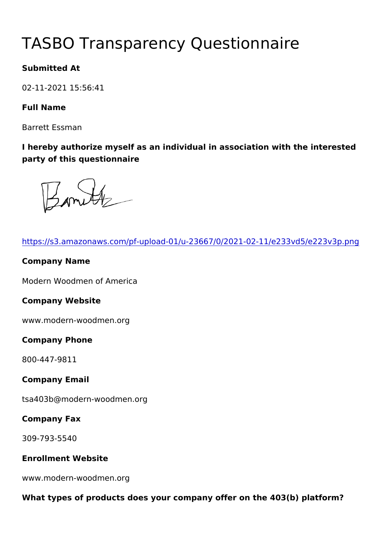# TASBO Transparency Questionna

Submitted At

02-11-2021 15:56:41

Full Name

Barrett Essman

I hereby authorize myself as an individual in association with the party of this questionnaire

| https://s3.amazonaws.com/pf-upload-01/u-23667/0/2021-02-11/e23   |
|------------------------------------------------------------------|
| Company Name                                                     |
| Modern Woodmen of America                                        |
| Company Website                                                  |
| www.modern-woodmen.org                                           |
| Company Phone                                                    |
| 800-447-9811                                                     |
| Company Email                                                    |
| tsa403b@modern-woodmen.org                                       |
| Company Fax                                                      |
| $309 - 793 - 5540$                                               |
| Enrollment Website                                               |
| www.modern-woodmen.org                                           |
| What types of products does your company offer on the 403(b) pla |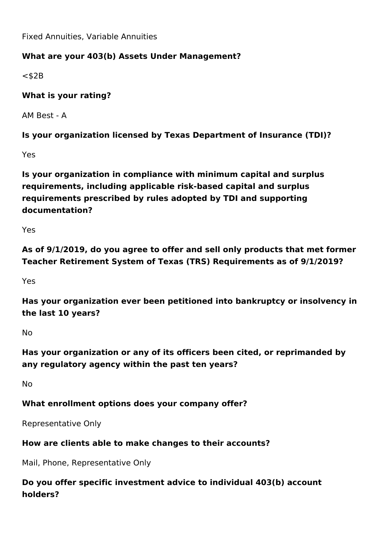Fixed Annuities, Variable Annuities

#### **What are your 403(b) Assets Under Management?**

 $<$ \$2B

#### **What is your rating?**

AM Best - A

**Is your organization licensed by Texas Department of Insurance (TDI)?**

Yes

**Is your organization in compliance with minimum capital and surplus requirements, including applicable risk-based capital and surplus requirements prescribed by rules adopted by TDI and supporting documentation?**

Yes

**As of 9/1/2019, do you agree to offer and sell only products that met former Teacher Retirement System of Texas (TRS) Requirements as of 9/1/2019?**

Yes

**Has your organization ever been petitioned into bankruptcy or insolvency in the last 10 years?**

No

**Has your organization or any of its officers been cited, or reprimanded by any regulatory agency within the past ten years?**

No

#### **What enrollment options does your company offer?**

Representative Only

#### **How are clients able to make changes to their accounts?**

Mail, Phone, Representative Only

# **Do you offer specific investment advice to individual 403(b) account holders?**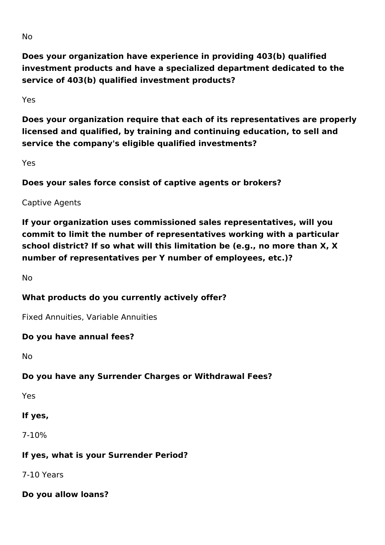**Does your organization have experience in providing 403(b) qualified investment products and have a specialized department dedicated to the service of 403(b) qualified investment products?**

Yes

**Does your organization require that each of its representatives are properly licensed and qualified, by training and continuing education, to sell and service the company's eligible qualified investments?** 

Yes

**Does your sales force consist of captive agents or brokers?**

Captive Agents

**If your organization uses commissioned sales representatives, will you commit to limit the number of representatives working with a particular school district? If so what will this limitation be (e.g., no more than X, X number of representatives per Y number of employees, etc.)?**

No

#### **What products do you currently actively offer?**

Fixed Annuities, Variable Annuities

#### **Do you have annual fees?**

No

# **Do you have any Surrender Charges or Withdrawal Fees?**

Yes

#### **If yes,**

7-10%

#### **If yes, what is your Surrender Period?**

7-10 Years

**Do you allow loans?**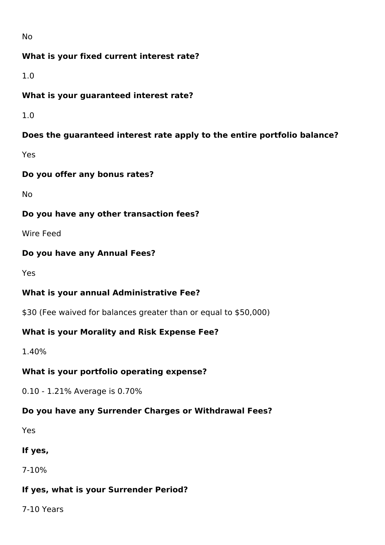No

#### **What is your fixed current interest rate?**

1.0

#### **What is your guaranteed interest rate?**

1.0

## **Does the guaranteed interest rate apply to the entire portfolio balance?**

Yes

#### **Do you offer any bonus rates?**

No

#### **Do you have any other transaction fees?**

Wire Feed

#### **Do you have any Annual Fees?**

Yes

# **What is your annual Administrative Fee?**

\$30 (Fee waived for balances greater than or equal to \$50,000)

#### **What is your Morality and Risk Expense Fee?**

1.40%

#### **What is your portfolio operating expense?**

0.10 - 1.21% Average is 0.70%

#### **Do you have any Surrender Charges or Withdrawal Fees?**

Yes

#### **If yes,**

7-10%

# **If yes, what is your Surrender Period?**

7-10 Years